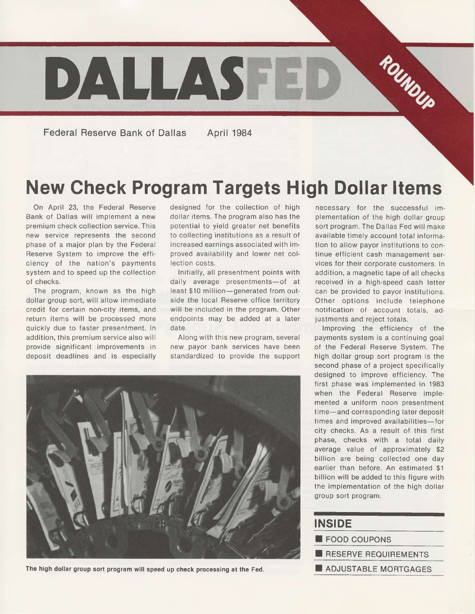

**Federal Reserve Bank of Dallas April 1984**

## **New Check Program Targets High Dollar Items**

On April 23, the Federal Reserve Bank of Dallas will implement a new premium check collection service. This new service represents the second phase of a major plan by the Federal Reserve System to improve the efficiency of the nation's payments system and to speed up the collection of checks.

The program, known as the high dollar group sort, will allow immediate credit for certain non-city items, and return items will be processed more quickly due to faster presentment. In addition, this premium service also will provide significant improvements in deposit deadlines and is especially designed for the collection of high dollar items. The program also has the potential to yield greater net benefits to collecting institutions as a result of increased earnings associated with improved availability and lower net collection costs.

Initially, all presentment points with daily average presentments—of at least \$10 million—generated from outside the local Reserve office territory will be included in the program. Other endpoints may be added at a later date.

Along with this new program, several new payor bank services have been standardized to provide the support



The high dollar group sort program will speed up check processing at the Fed.

necessary for the successful implementation of the high dollar group sort program. The Dallas Fed will make available timely account total information to allow payor institutions to continue efficient cash management services for their corporate customers. In addition, a magnetic tape of all checks received in a high-speed cash letter can be provided to payor institutions. Other options include telephone notification of account totals, adjustments and reject totals.

Improving the efficiency of the payments system is a continuing goal of the Federal Reserve System. The high dollar group sort program is the second phase of a project specifically designed to improve efficiency. The first phase was implemented in 1983 when the Federal Reserve implemented a uniform noon presentment time—and corresponding later deposit times and improved availabilities—for city checks. As a result of this first phase, checks with a total daily average value of approximately \$2 billion are being collected one day earlier than before. An estimated \$1 billion will be added to this figure with the implementation of the high dollar group sort program.

| <b>INSIDE</b>        |  |  |  |  |
|----------------------|--|--|--|--|
| FOOD COUPONS         |  |  |  |  |
| RESERVE REQUIREMENTS |  |  |  |  |
| ADJUSTABLE MORTGAGES |  |  |  |  |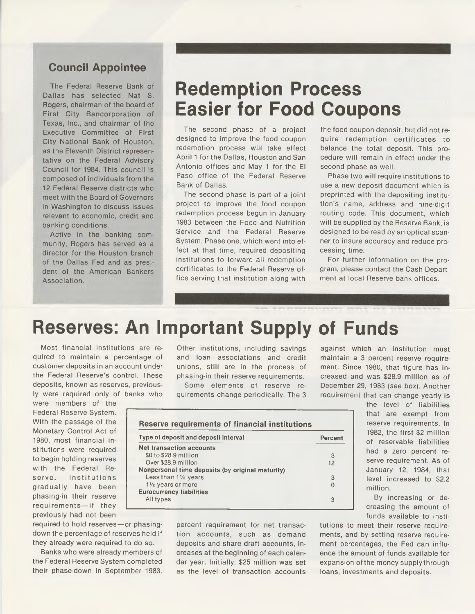#### **Council Appointee**

The Federal Reserve Bank of Dallas has selected Nat S. Rogers, chairman of the board of First City Bancorporation of Texas, Inc., and chairman of the Executive Committee of First City National Bank of Houston, as the Eleventh District representative on the Federal Advisory Council for 1984. This council is composed of individuals from the 12 Federal Reserve districts who meet with the Board of Governors in Washington to discuss issues relevant to economic, credit and banking conditions.

Active in the banking community, Rogers has served as a director for the Houston branch of the Dallas Fed and as president of the American Bankers Association.

#### **Redemption Process Easier for Food Coupons**

The second phase of a project designed to improve the food coupon redemption process will take effect April 1 for the Dallas, Houston and San Antonio offices and May 1 for the El Paso office of the Federal Reserve Bank of Dallas.

The second phase is part of a joint project to improve the food coupon redemption process begun in January 1983 between the Food and Nutrition Service and the Federal Reserve System. Phase one, which went into effect at that time, required depositing institutions to forward all redemption certificates to the Federal Reserve office serving that institution along with the food coupon deposit, but did not require redemption certificates to balance the total deposit. This procedure will remain in effect under the second phase as well.

Phase two will require institutions to use a new deposit document which is preprinted with the depositing institution's name, address and nine-digit routing code. This document, which will be supplied by the Reserve Bank, is designed to be read by an optical scanner to insure accuracy and reduce processing time.

For further information on the program, please contact the Cash Department at local Reserve bank offices.

## **Reserves: An Important Supply of Funds**

Most financial institutions are required to maintain a percentage of customer deposits in an account under the Federal Reserve's control. These deposits, known as reserves, previously were required only of banks who

were members of the Federal Reserve System. With the passage of the Monetary Control Act of 1980, most financial institutions were required to begin holding reserves with the Federal Reserve. Institutions gradually have been phasing-in their reserve requirements—if they previously had not been

required to hold reserves—or phasingdown the percentage of reserves held if they already were required to do so.

Banks who were already members of the Federal Reserve System completed their phase-down in September 1983.

Other institutions, including savings and loan associations and credit unions, still are in the process of phasing-in their reserve requirements.

Some elements of reserve requirements change periodically. The 3

**Type of deposit and deposit interval Percent**

\$0 to \$28.9 million **3** Over \$28.9 million 12

Less than **1Vi** years **3**

All types **3**

**Reserve requirements of financial institutions**

**Nonpersonal time deposits (by original maturity)**

**Net transaction accounts**

 $1\frac{1}{2}$  years or more **Eurocurrency liabilities** against which an institution must maintain a 3 percent reserve requirement. Since 1980, that figure has increased and was \$28.9 million as of December 29, 1983 *(see box).* Another requirement that can change yearly is

| the level of liabilities    |
|-----------------------------|
| that are exempt from        |
| reserve requirements. In    |
| 1982, the first \$2 million |
| of reservable liabilities   |
| had a zero percent re-      |
| serve requirement. As of    |
| January 12, 1984, that      |
| level increased to \$2.2    |
| million.                    |
|                             |

By increasing or decreasing the amount of funds available to insti-

percent requirement for net transaction accounts, such as demand deposits and share draft accounts, increases at the beginning of each calendar year. Initially, \$25 million was set as the level of transaction accounts

tutions to meet their reserve requirements, and by setting reserve requirement percentages, the Fed can influence the amount of funds available for expansion of the money supplythrough loans, investments and deposits.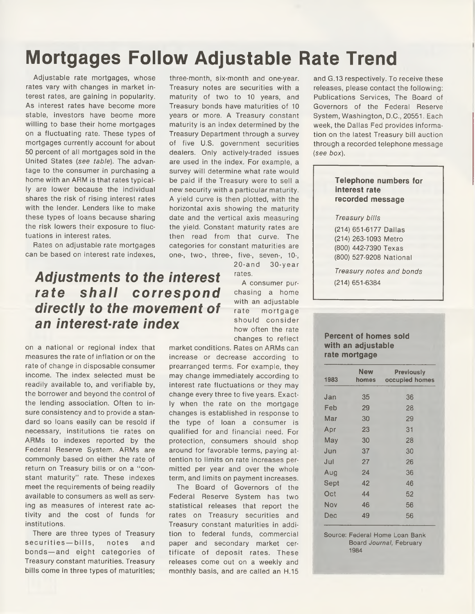## **Mortgages Follow Adjustable Rate Trend**

Adjustable rate mortgages, whose rates vary with changes in market interest rates, are gaining in popularity. As interest rates have become more stable, investors have beome more willing to base their home mortgages on a fluctuating rate. These types of mortgages currently account for about 50 percent of all mortgages sold in the United States *(see table).* The advantage to the consumer in purchasing a home with an ARM is that rates typically are lower because the individual shares the risk of rising interest rates with the lender. Lenders like to make these types of loans because sharing the risk lowers their exposure to fluctuations in interest rates.

Rates on adjustable rate mortgages can be based on interest rate indexes,

#### *Adjustments to the interest rate shall correspond directly to the movement of an interest-rate index*

on a national or regional index that measures the rate of inflation or on the rate of change in disposable consumer income. The index selected must be readily available to, and verifiable by, the borrower and beyond the control of the lending association. Often to insure consistency and to provide a standard so loans easily can be resold if necessary, institutions tie rates on ARMs to indexes reported by the Federal Reserve System. ARMs are commonly based on either the rate of return on Treasury bills or on a "constant maturity'' rate. These indexes meet the requirements of being readily available to consumers as well as serving as measures of interest rate activity and the cost of funds for institutions.

There are three types of Treasury securities-bills, notes and bonds—and eight categories of Treasury constant maturities. Treasury bills come in three types of maturities;

three-month, six-month and one-year. Treasury notes are securities with a maturity of two to 10 years, and Treasury bonds have maturities of 10 years or more. A Treasury constant maturity is an index determined by the Treasury Department through a survey of five U.S. government securities dealers. Only actively-traded issues are used in the index. For example, a survey will determine what rate would be paid if the Treasury were to sell a new security with a particular maturity. A yield curve is then plotted, with the horizontal axis showing the maturity date and the vertical axis measuring the yield. Constant maturity rates are then read from that curve. The categories for constant maturities are one-, two-, three-, five-, seven-, 10-, 20-and 30-year

rates.

A consumer purchasing a home with an adjustable rate mortgage should consider how often the rate changes to reflect

market conditions. Rates on ARMs can increase or decrease according to prearranged terms. For example, they may change immediately according to interest rate fluctuations or they may change every three to five years. Exactly when the rate on the mortgage changes is established in response to the type of loan a consumer is qualified for and financial need. For protection, consumers should shop around for favorable terms, paying attention to limits on rate increases permitted per year and over the whole term, and limits on payment increases.

The Board of Governors of the Federal Reserve System has two statistical releases that report the rates on Treasury securities and Treasury constant maturities in addition to federal funds, commercial paper and secondary market certificate of deposit rates. These releases come out on a weekly and monthly basis, and are called an H.15

and G.13 respectively. To receive these releases, please contact the following: Publications Services, The Board of Governors of the Federal Reserve System, Washington, D.C., 20551. Each week, the Dallas Fed provides information on the latest Treasury bill auction through a recorded telephone message *(see box).*

#### **Telephone numbers for interest rate recorded message**

*Treasury bills*

(214) 651-6177 Dallas (214) 263-1093 Metro (800) 442-7390 Texas (800) 527-9208 National

*Treasury notes and bonds* (214) 651-6384

#### **Percent of homes sold with an adjustable rate mortgage**

| 1983 | <b>New</b><br>homes | <b>Previously</b><br>occupied homes |
|------|---------------------|-------------------------------------|
| Jan  | 35                  | 36                                  |
| Feb  | 29                  | 28                                  |
| Mar  | 30                  | 29                                  |
| Apr  | 23                  | 31                                  |
| May  | 30                  | 28                                  |
| Jun  | 37                  | 30                                  |
| Jul  | 27                  | 26                                  |
| Aug  | 24                  | 36                                  |
| Sept | 42                  | 46                                  |
| Oct  | 44                  | 52                                  |
| Nov  | 46                  | 56                                  |
| Dec  | 49                  | 56                                  |

Source: Federal Home Loan Bank Board *Journal,* February 1984